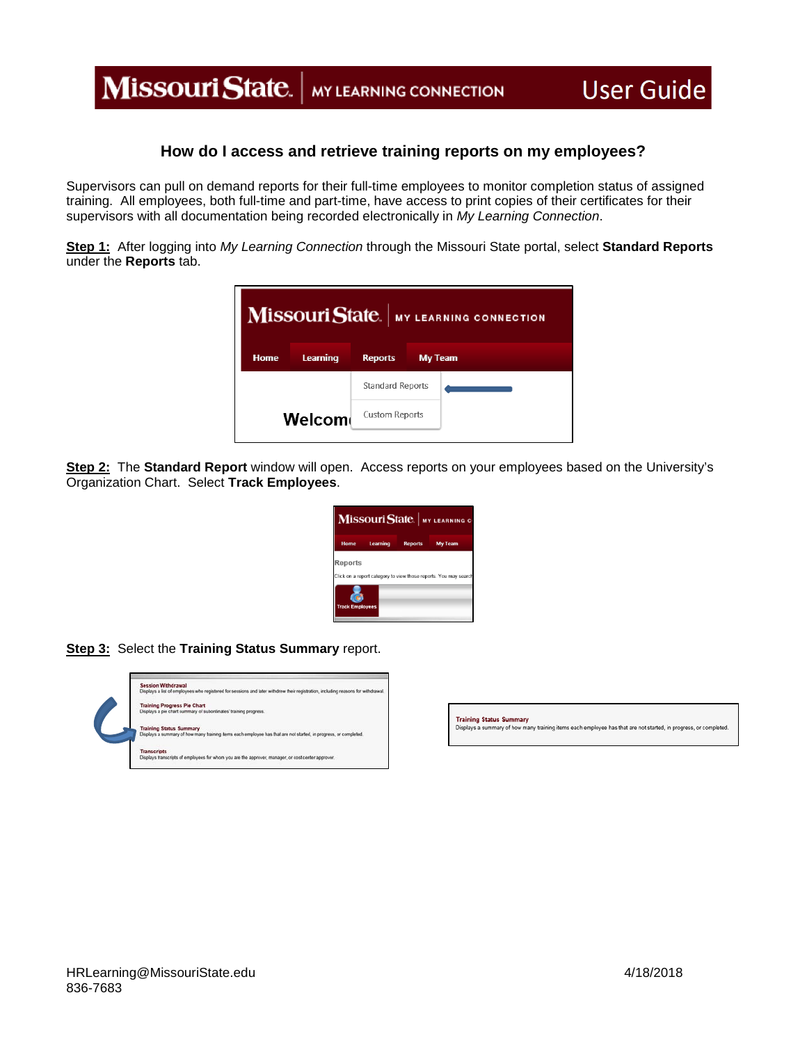## Missouri State. | MY LEARNING CONNECTION

## **How do I access and retrieve training reports on my employees?**

Supervisors can pull on demand reports for their full-time employees to monitor completion status of assigned training. All employees, both full-time and part-time, have access to print copies of their certificates for their supervisors with all documentation being recorded electronically in *My Learning Connection*.

**Step 1:** After logging into *My Learning Connection* through the Missouri State portal, select **Standard Reports** under the **Reports** tab.



**Step 2:** The **Standard Report** window will open. Access reports on your employees based on the University's Organization Chart. Select **Track Employees**.

| Home    | Learning | Reports My Team |
|---------|----------|-----------------|
|         |          |                 |
| Reports |          |                 |
|         |          |                 |

**Step 3:** Select the **Training Status Summary** report.



Training Status Summary<br>Displays a summary of how many training items each employee has that are not started, in progress, or completed.